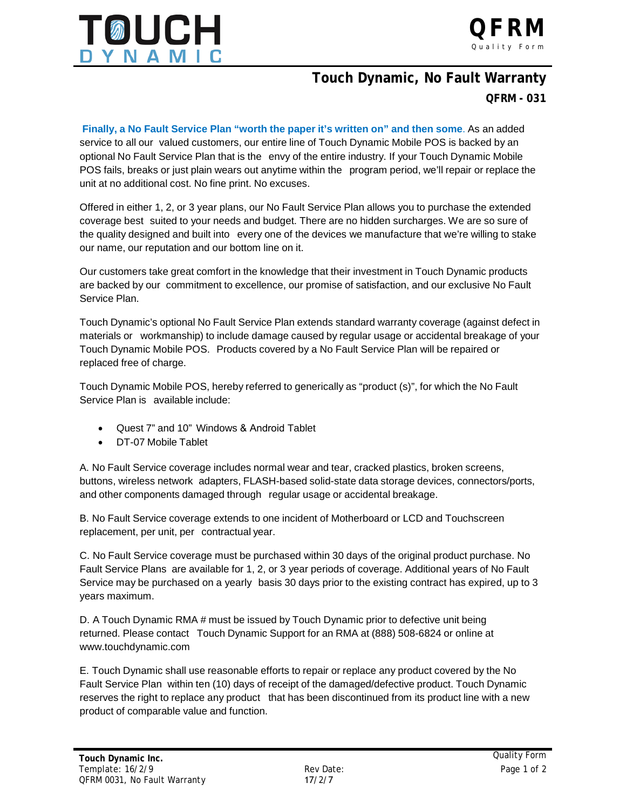



## **Touch Dynamic, No Fault Warranty**

**QFRM - 031**

**Finally, a No Fault Service Plan "worth the paper it's written on" and then some**. As an added service to all our valued customers, our entire line of Touch Dynamic Mobile POS is backed by an optional No Fault Service Plan that is the envy of the entire industry. If your Touch Dynamic Mobile POS fails, breaks or just plain wears out anytime within the program period, we'll repair or replace the unit at no additional cost. No fine print. No excuses.

Offered in either 1, 2, or 3 year plans, our No Fault Service Plan allows you to purchase the extended coverage best suited to your needs and budget. There are no hidden surcharges. We are so sure of the quality designed and built into every one of the devices we manufacture that we're willing to stake our name, our reputation and our bottom line on it.

Our customers take great comfort in the knowledge that their investment in Touch Dynamic products are backed by our commitment to excellence, our promise of satisfaction, and our exclusive No Fault Service Plan.

Touch Dynamic's optional No Fault Service Plan extends standard warranty coverage (against defect in materials or workmanship) to include damage caused by regular usage or accidental breakage of your Touch Dynamic Mobile POS. Products covered by a No Fault Service Plan will be repaired or replaced free of charge.

Touch Dynamic Mobile POS, hereby referred to generically as "product (s)", for which the No Fault Service Plan is available include:

- Quest 7" and 10" Windows & Android Tablet
- DT-07 Mobile Tablet

A. No Fault Service coverage includes normal wear and tear, cracked plastics, broken screens, buttons, wireless network adapters, FLASH-based solid-state data storage devices, connectors/ports, and other components damaged through regular usage or accidental breakage.

B. No Fault Service coverage extends to one incident of Motherboard or LCD and Touchscreen replacement, per unit, per contractual year.

C. No Fault Service coverage must be purchased within 30 days of the original product purchase. No Fault Service Plans are available for 1, 2, or 3 year periods of coverage. Additional years of No Fault Service may be purchased on a yearly basis 30 days prior to the existing contract has expired, up to 3 years maximum.

D. A Touch Dynamic RMA # must be issued by Touch Dynamic prior to defective unit being returned. Please contact Touch Dynamic Support for an RMA at (888) 508-6824 or online at [www.touchdynamic.com](http://www.touchdynamic.com/)

E. Touch Dynamic shall use reasonable efforts to repair or replace any product covered by the No Fault Service Plan within ten (10) days of receipt of the damaged/defective product. Touch Dynamic reserves the right to replace any product that has been discontinued from its product line with a new product of comparable value and function.